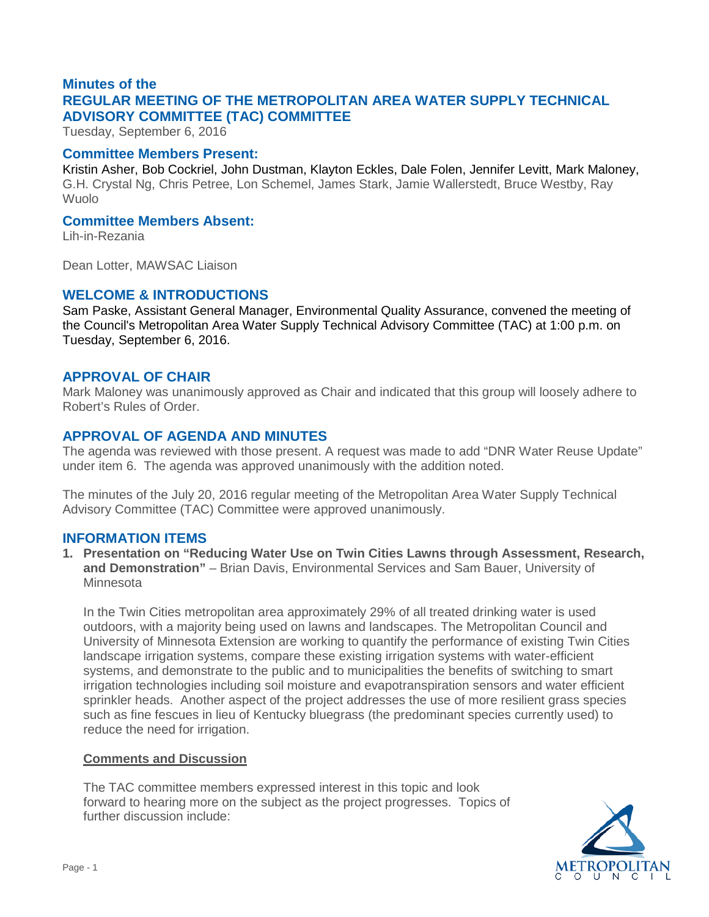# **Minutes of the REGULAR MEETING OF THE METROPOLITAN AREA WATER SUPPLY TECHNICAL ADVISORY COMMITTEE (TAC) COMMITTEE**

Tuesday, September 6, 2016

### **Committee Members Present:**

Kristin Asher, Bob Cockriel, John Dustman, Klayton Eckles, Dale Folen, Jennifer Levitt, Mark Maloney, G.H. Crystal Ng, Chris Petree, Lon Schemel, James Stark, Jamie Wallerstedt, Bruce Westby, Ray Wuolo

### **Committee Members Absent:**

Lih-in-Rezania

Dean Lotter, MAWSAC Liaison

## **WELCOME & INTRODUCTIONS**

Sam Paske, Assistant General Manager, Environmental Quality Assurance, convened the meeting of the Council's Metropolitan Area Water Supply Technical Advisory Committee (TAC) at 1:00 p.m. on Tuesday, September 6, 2016.

# **APPROVAL OF CHAIR**

Mark Maloney was unanimously approved as Chair and indicated that this group will loosely adhere to Robert's Rules of Order.

# **APPROVAL OF AGENDA AND MINUTES**

The agenda was reviewed with those present. A request was made to add "DNR Water Reuse Update" under item 6. The agenda was approved unanimously with the addition noted.

The minutes of the July 20, 2016 regular meeting of the Metropolitan Area Water Supply Technical Advisory Committee (TAC) Committee were approved unanimously.

# **INFORMATION ITEMS**

**1. Presentation on "Reducing Water Use on Twin Cities Lawns through Assessment, Research, and Demonstration"** – Brian Davis, Environmental Services and Sam Bauer, University of **Minnesota** 

In the Twin Cities metropolitan area approximately 29% of all treated drinking water is used outdoors, with a majority being used on lawns and landscapes. The Metropolitan Council and University of Minnesota Extension are working to quantify the performance of existing Twin Cities landscape irrigation systems, compare these existing irrigation systems with water-efficient systems, and demonstrate to the public and to municipalities the benefits of switching to smart irrigation technologies including soil moisture and evapotranspiration sensors and water efficient sprinkler heads. Another aspect of the project addresses the use of more resilient grass species such as fine fescues in lieu of Kentucky bluegrass (the predominant species currently used) to reduce the need for irrigation.

### **Comments and Discussion**

The TAC committee members expressed interest in this topic and look forward to hearing more on the subject as the project progresses. Topics of further discussion include:

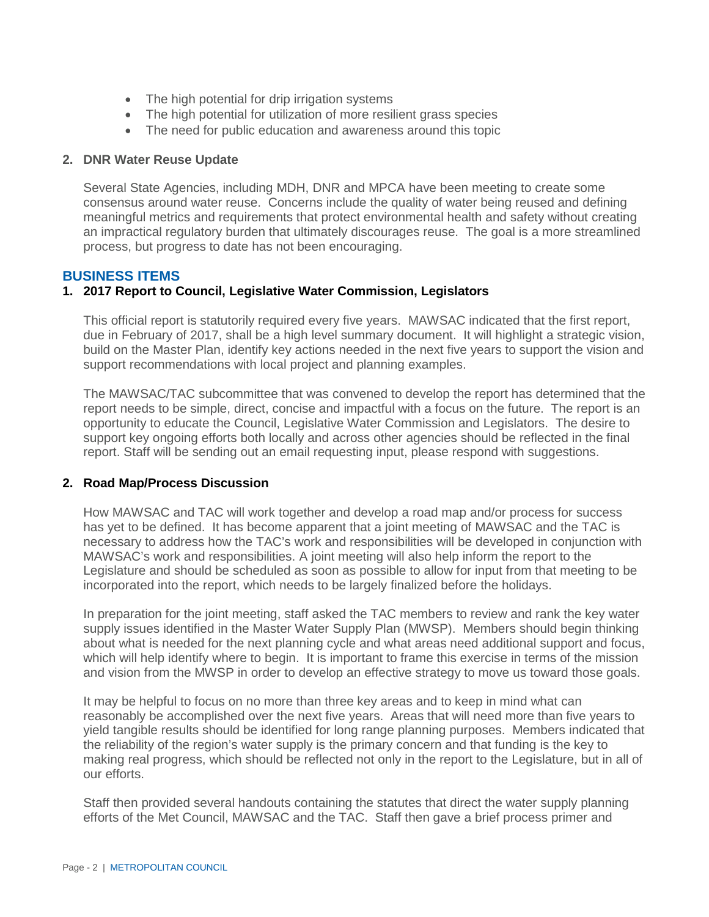- The high potential for drip irrigation systems
- The high potential for utilization of more resilient grass species
- The need for public education and awareness around this topic

#### **2. DNR Water Reuse Update**

Several State Agencies, including MDH, DNR and MPCA have been meeting to create some consensus around water reuse. Concerns include the quality of water being reused and defining meaningful metrics and requirements that protect environmental health and safety without creating an impractical regulatory burden that ultimately discourages reuse. The goal is a more streamlined process, but progress to date has not been encouraging.

#### **BUSINESS ITEMS**

#### **1. 2017 Report to Council, Legislative Water Commission, Legislators**

This official report is statutorily required every five years. MAWSAC indicated that the first report, due in February of 2017, shall be a high level summary document. It will highlight a strategic vision, build on the Master Plan, identify key actions needed in the next five years to support the vision and support recommendations with local project and planning examples.

The MAWSAC/TAC subcommittee that was convened to develop the report has determined that the report needs to be simple, direct, concise and impactful with a focus on the future. The report is an opportunity to educate the Council, Legislative Water Commission and Legislators. The desire to support key ongoing efforts both locally and across other agencies should be reflected in the final report. Staff will be sending out an email requesting input, please respond with suggestions.

#### **2. Road Map/Process Discussion**

How MAWSAC and TAC will work together and develop a road map and/or process for success has yet to be defined. It has become apparent that a joint meeting of MAWSAC and the TAC is necessary to address how the TAC's work and responsibilities will be developed in conjunction with MAWSAC's work and responsibilities. A joint meeting will also help inform the report to the Legislature and should be scheduled as soon as possible to allow for input from that meeting to be incorporated into the report, which needs to be largely finalized before the holidays.

In preparation for the joint meeting, staff asked the TAC members to review and rank the key water supply issues identified in the Master Water Supply Plan (MWSP). Members should begin thinking about what is needed for the next planning cycle and what areas need additional support and focus, which will help identify where to begin. It is important to frame this exercise in terms of the mission and vision from the MWSP in order to develop an effective strategy to move us toward those goals.

It may be helpful to focus on no more than three key areas and to keep in mind what can reasonably be accomplished over the next five years. Areas that will need more than five years to yield tangible results should be identified for long range planning purposes. Members indicated that the reliability of the region's water supply is the primary concern and that funding is the key to making real progress, which should be reflected not only in the report to the Legislature, but in all of our efforts.

Staff then provided several handouts containing the statutes that direct the water supply planning efforts of the Met Council, MAWSAC and the TAC. Staff then gave a brief process primer and